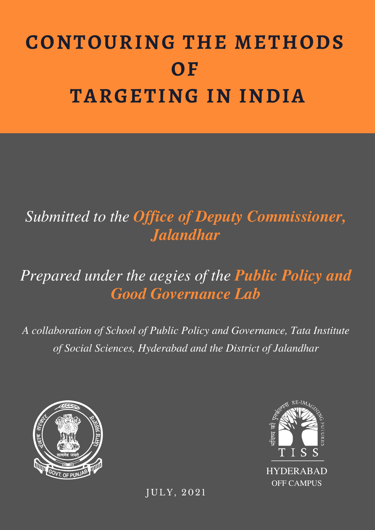# **CONTOURING THE METHODS OF TARGETING IN INDIA**

*Submitted to the Office of Deputy Commissioner, Jalandhar*

# *Prepared under the aegies of the Public Policy and Good Governance Lab*

*A collaboration of School of Public Policy and Governance, Tata Institute of Social Sciences, Hyderabad and the District of Jalandhar*





J U L Y, 2021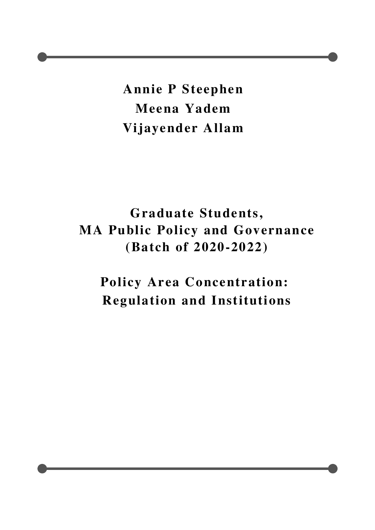**Annie P Steephen Meena Yadem Vijayender Allam**

**Graduate Students, MA Public Policy and Governance (Batch of 2020-2022)**

**Policy Area Concentration: Regulation and Institutions**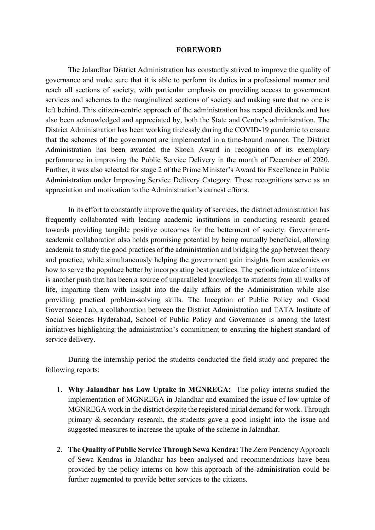#### **FOREWORD**

The Jalandhar District Administration has constantly strived to improve the quality of governance and make sure that it is able to perform its duties in a professional manner and reach all sections of society, with particular emphasis on providing access to government services and schemes to the marginalized sections of society and making sure that no one is left behind. This citizen-centric approach of the administration has reaped dividends and has also been acknowledged and appreciated by, both the State and Centre's administration. The District Administration has been working tirelessly during the COVID-19 pandemic to ensure that the schemes of the government are implemented in a time-bound manner. The District Administration has been awarded the Skoch Award in recognition of its exemplary performance in improving the Public Service Delivery in the month of December of 2020. Further, it was also selected for stage 2 of the Prime Minister's Award for Excellence in Public Administration under Improving Service Delivery Category. These recognitions serve as an appreciation and motivation to the Administration's earnest efforts.

In its effort to constantly improve the quality of services, the district administration has frequently collaborated with leading academic institutions in conducting research geared towards providing tangible positive outcomes for the betterment of society. Governmentacademia collaboration also holds promising potential by being mutually beneficial, allowing academia to study the good practices of the administration and bridging the gap between theory and practice, while simultaneously helping the government gain insights from academics on how to serve the populace better by incorporating best practices. The periodic intake of interns is another push that has been a source of unparalleled knowledge to students from all walks of life, imparting them with insight into the daily affairs of the Administration while also providing practical problem-solving skills. The Inception of Public Policy and Good Governance Lab, a collaboration between the District Administration and TATA Institute of Social Sciences Hyderabad, School of Public Policy and Governance is among the latest initiatives highlighting the administration's commitment to ensuring the highest standard of service delivery.

During the internship period the students conducted the field study and prepared the following reports:

- 1. **Why Jalandhar has Low Uptake in MGNREGA:** The policy interns studied the implementation of MGNREGA in Jalandhar and examined the issue of low uptake of MGNREGA work in the district despite the registered initial demand for work. Through primary & secondary research, the students gave a good insight into the issue and suggested measures to increase the uptake of the scheme in Jalandhar.
- 2. **The Quality of Public Service Through Sewa Kendra:** The Zero Pendency Approach of Sewa Kendras in Jalandhar has been analysed and recommendations have been provided by the policy interns on how this approach of the administration could be further augmented to provide better services to the citizens.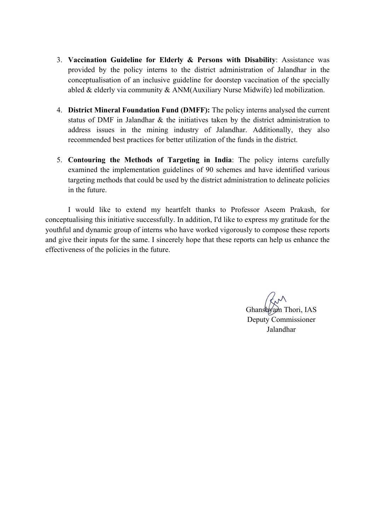- 3. **Vaccination Guideline for Elderly & Persons with Disability**: Assistance was provided by the policy interns to the district administration of Jalandhar in the conceptualisation of an inclusive guideline for doorstep vaccination of the specially abled & elderly via community & ANM(Auxiliary Nurse Midwife) led mobilization.
- 4. **District Mineral Foundation Fund (DMFF):** The policy interns analysed the current status of DMF in Jalandhar & the initiatives taken by the district administration to address issues in the mining industry of Jalandhar. Additionally, they also recommended best practices for better utilization of the funds in the district.
- 5. **Contouring the Methods of Targeting in India**: The policy interns carefully examined the implementation guidelines of 90 schemes and have identified various targeting methods that could be used by the district administration to delineate policies in the future.

I would like to extend my heartfelt thanks to Professor Aseem Prakash, for conceptualising this initiative successfully. In addition, I'd like to express my gratitude for the youthful and dynamic group of interns who have worked vigorously to compose these reports and give their inputs for the same. I sincerely hope that these reports can help us enhance the effectiveness of the policies in the future.

Ghanshyam Thori, IAS Deputy Commissioner Jalandhar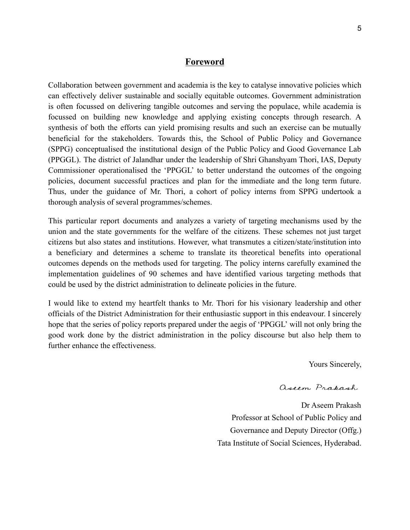#### **Foreword**

Collaboration between government and academia is the key to catalyse innovative policies which can effectively deliver sustainable and socially equitable outcomes. Government administration is often focussed on delivering tangible outcomes and serving the populace, while academia is focussed on building new knowledge and applying existing concepts through research. A synthesis of both the efforts can yield promising results and such an exercise can be mutually beneficial for the stakeholders. Towards this, the School of Public Policy and Governance (SPPG) conceptualised the institutional design of the Public Policy and Good Governance Lab (PPGGL). The district of Jalandhar under the leadership of Shri Ghanshyam Thori, IAS, Deputy Commissioner operationalised the 'PPGGL' to better understand the outcomes of the ongoing policies, document successful practices and plan for the immediate and the long term future. Thus, under the guidance of Mr. Thori, a cohort of policy interns from SPPG undertook a thorough analysis of several programmes/schemes.

This particular report documents and analyzes a variety of targeting mechanisms used by the union and the state governments for the welfare of the citizens. These schemes not just target citizens but also states and institutions. However, what transmutes a citizen/state/institution into a beneficiary and determines a scheme to translate its theoretical benefits into operational outcomes depends on the methods used for targeting. The policy interns carefully examined the implementation guidelines of 90 schemes and have identified various targeting methods that could be used by the district administration to delineate policies in the future.

I would like to extend my heartfelt thanks to Mr. Thori for his visionary leadership and other officials of the District Administration for their enthusiastic support in this endeavour. I sincerely hope that the series of policy reports prepared under the aegis of 'PPGGL' will not only bring the good work done by the district administration in the policy discourse but also help them to further enhance the effectiveness.

Yours Sincerely,

aseem Prakash

Dr Aseem Prakash Professor at School of Public Policy and Governance and Deputy Director (Offg.) Tata Institute of Social Sciences, Hyderabad.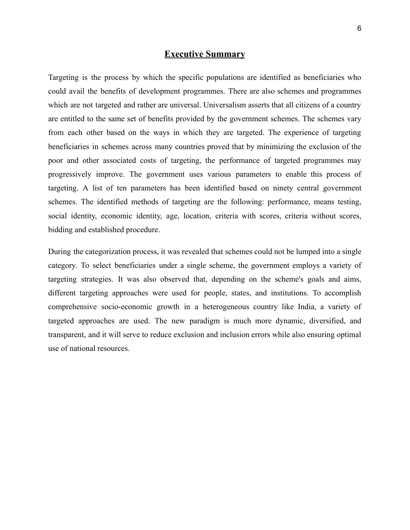#### **Executive Summary**

Targeting is the process by which the specific populations are identified as beneficiaries who could avail the benefits of development programmes. There are also schemes and programmes which are not targeted and rather are universal. Universalism asserts that all citizens of a country are entitled to the same set of benefits provided by the government schemes. The schemes vary from each other based on the ways in which they are targeted. The experience of targeting beneficiaries in schemes across many countries proved that by minimizing the exclusion of the poor and other associated costs of targeting, the performance of targeted programmes may progressively improve. The government uses various parameters to enable this process of targeting. A list of ten parameters has been identified based on ninety central government schemes. The identified methods of targeting are the following: performance, means testing, social identity, economic identity, age, location, criteria with scores, criteria without scores, bidding and established procedure.

During the categorization process, it was revealed that schemes could not be lumped into a single category. To select beneficiaries under a single scheme, the government employs a variety of targeting strategies. It was also observed that, depending on the scheme's goals and aims, different targeting approaches were used for people, states, and institutions. To accomplish comprehensive socio-economic growth in a heterogeneous country like India, a variety of targeted approaches are used. The new paradigm is much more dynamic, diversified, and transparent, and it will serve to reduce exclusion and inclusion errors while also ensuring optimal use of national resources.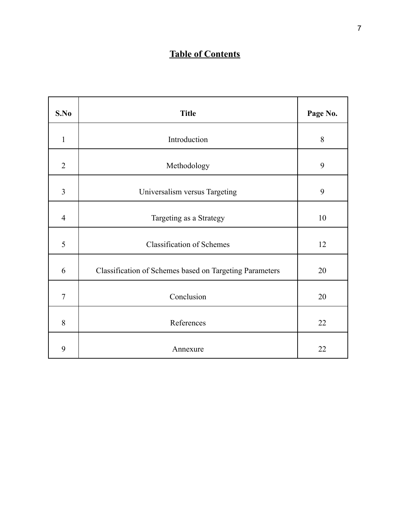### **Table of Contents**

| S.No           | <b>Title</b>                                            | Page No. |
|----------------|---------------------------------------------------------|----------|
| 1              | Introduction                                            | 8        |
| $\overline{2}$ | Methodology                                             | 9        |
| 3              | Universalism versus Targeting                           | 9        |
| $\overline{4}$ | Targeting as a Strategy                                 | 10       |
| 5              | <b>Classification of Schemes</b>                        | 12       |
| 6              | Classification of Schemes based on Targeting Parameters | 20       |
| $\overline{7}$ | Conclusion                                              | 20       |
| 8              | References                                              | 22       |
| 9              | Annexure                                                | 22       |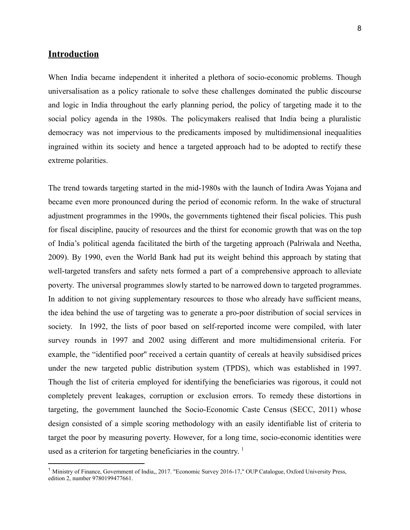#### **Introduction**

When India became independent it inherited a plethora of socio-economic problems. Though universalisation as a policy rationale to solve these challenges dominated the public discourse and logic in India throughout the early planning period, the policy of targeting made it to the social policy agenda in the 1980s. The policymakers realised that India being a pluralistic democracy was not impervious to the predicaments imposed by multidimensional inequalities ingrained within its society and hence a targeted approach had to be adopted to rectify these extreme polarities.

The trend towards targeting started in the mid-1980s with the launch of Indira Awas Yojana and became even more pronounced during the period of economic reform. In the wake of structural adjustment programmes in the 1990s, the governments tightened their fiscal policies. This push for fiscal discipline, paucity of resources and the thirst for economic growth that was on the top of India's political agenda facilitated the birth of the targeting approach (Palriwala and Neetha, 2009). By 1990, even the World Bank had put its weight behind this approach by stating that well-targeted transfers and safety nets formed a part of a comprehensive approach to alleviate poverty. The universal programmes slowly started to be narrowed down to targeted programmes. In addition to not giving supplementary resources to those who already have sufficient means, the idea behind the use of targeting was to generate a pro-poor distribution of social services in society. In 1992, the lists of poor based on self-reported income were compiled, with later survey rounds in 1997 and 2002 using different and more multidimensional criteria. For example, the "identified poor'' received a certain quantity of cereals at heavily subsidised prices under the new targeted public distribution system (TPDS), which was established in 1997. Though the list of criteria employed for identifying the beneficiaries was rigorous, it could not completely prevent leakages, corruption or exclusion errors. To remedy these distortions in targeting, the government launched the Socio-Economic Caste Census (SECC, 2011) whose design consisted of a simple scoring methodology with an easily identifiable list of criteria to target the poor by measuring poverty. However, for a long time, socio-economic identities were used as a criterion for targeting beneficiaries in the country. 1

<sup>&</sup>lt;sup>1</sup> Ministry of Finance, Government of India,, 2017. "Economic Survey 2016-17," OUP Catalogue, Oxford University Press, edition 2, number 9780199477661.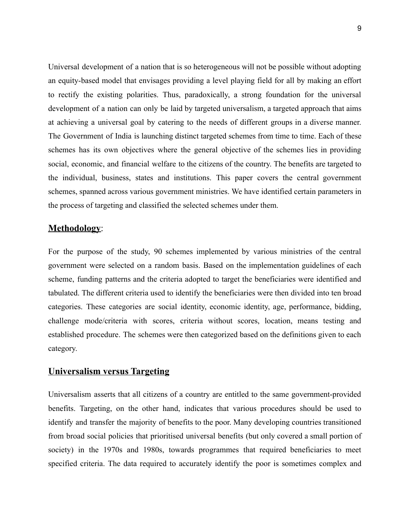Universal development of a nation that is so heterogeneous will not be possible without adopting an equity-based model that envisages providing a level playing field for all by making an effort to rectify the existing polarities. Thus, paradoxically, a strong foundation for the universal development of a nation can only be laid by targeted universalism, a targeted approach that aims at achieving a universal goal by catering to the needs of different groups in a diverse manner. The Government of India is launching distinct targeted schemes from time to time. Each of these schemes has its own objectives where the general objective of the schemes lies in providing social, economic, and financial welfare to the citizens of the country. The benefits are targeted to the individual, business, states and institutions. This paper covers the central government schemes, spanned across various government ministries. We have identified certain parameters in the process of targeting and classified the selected schemes under them.

#### **Methodology**:

For the purpose of the study, 90 schemes implemented by various ministries of the central government were selected on a random basis. Based on the implementation guidelines of each scheme, funding patterns and the criteria adopted to target the beneficiaries were identified and tabulated. The different criteria used to identify the beneficiaries were then divided into ten broad categories. These categories are social identity, economic identity, age, performance, bidding, challenge mode/criteria with scores, criteria without scores, location, means testing and established procedure. The schemes were then categorized based on the definitions given to each category.

#### **Universalism versus Targeting**

Universalism asserts that all citizens of a country are entitled to the same government-provided benefits. Targeting, on the other hand, indicates that various procedures should be used to identify and transfer the majority of benefits to the poor. Many developing countries transitioned from broad social policies that prioritised universal benefits (but only covered a small portion of society) in the 1970s and 1980s, towards programmes that required beneficiaries to meet specified criteria. The data required to accurately identify the poor is sometimes complex and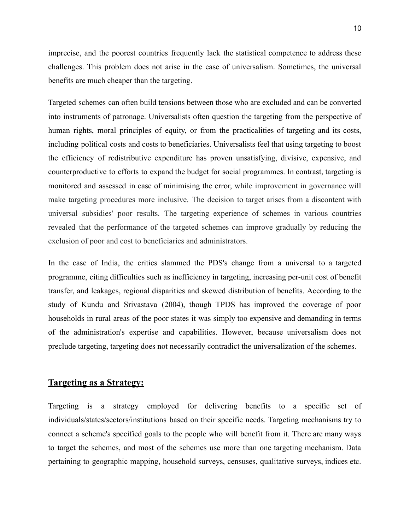imprecise, and the poorest countries frequently lack the statistical competence to address these challenges. This problem does not arise in the case of universalism. Sometimes, the universal benefits are much cheaper than the targeting.

Targeted schemes can often build tensions between those who are excluded and can be converted into instruments of patronage. Universalists often question the targeting from the perspective of human rights, moral principles of equity, or from the practicalities of targeting and its costs, including political costs and costs to beneficiaries. Universalists feel that using targeting to boost the efficiency of redistributive expenditure has proven unsatisfying, divisive, expensive, and counterproductive to efforts to expand the budget for social programmes. In contrast, targeting is monitored and assessed in case of minimising the error, while improvement in governance will make targeting procedures more inclusive. The decision to target arises from a discontent with universal subsidies' poor results. The targeting experience of schemes in various countries revealed that the performance of the targeted schemes can improve gradually by reducing the exclusion of poor and cost to beneficiaries and administrators.

In the case of India, the critics slammed the PDS's change from a universal to a targeted programme, citing difficulties such as inefficiency in targeting, increasing per-unit cost of benefit transfer, and leakages, regional disparities and skewed distribution of benefits. According to the study of Kundu and Srivastava (2004), though TPDS has improved the coverage of poor households in rural areas of the poor states it was simply too expensive and demanding in terms of the administration's expertise and capabilities. However, because universalism does not preclude targeting, targeting does not necessarily contradict the universalization of the schemes.

#### **Targeting as a Strategy:**

Targeting is a strategy employed for delivering benefits to a specific set of individuals/states/sectors/institutions based on their specific needs. Targeting mechanisms try to connect a scheme's specified goals to the people who will benefit from it. There are many ways to target the schemes, and most of the schemes use more than one targeting mechanism. Data pertaining to geographic mapping, household surveys, censuses, qualitative surveys, indices etc.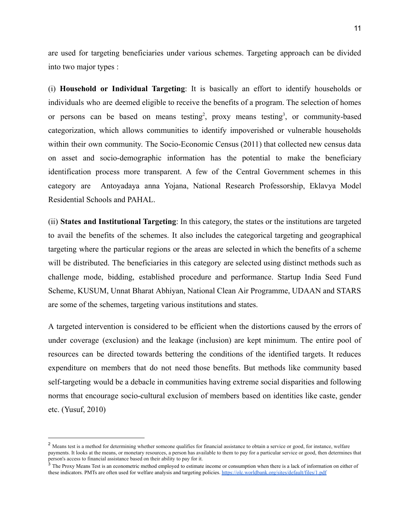are used for targeting beneficiaries under various schemes. Targeting approach can be divided into two major types :

(i) **Household or Individual Targeting**: It is basically an effort to identify households or individuals who are deemed eligible to receive the benefits of a program. The selection of homes or persons can be based on means testing<sup>2</sup>, proxy means testing<sup>3</sup>, or community-based categorization, which allows communities to identify impoverished or vulnerable households within their own community. The Socio-Economic Census (2011) that collected new census data on asset and socio-demographic information has the potential to make the beneficiary identification process more transparent. A few of the Central Government schemes in this category are Antoyadaya anna Yojana, National Research Professorship, Eklavya Model Residential Schools and PAHAL.

(ii) **States and Institutional Targeting**: In this category, the states or the institutions are targeted to avail the benefits of the schemes. It also includes the categorical targeting and geographical targeting where the particular regions or the areas are selected in which the benefits of a scheme will be distributed. The beneficiaries in this category are selected using distinct methods such as challenge mode, bidding, established procedure and performance. Startup India Seed Fund Scheme, KUSUM, Unnat Bharat Abhiyan, National Clean Air Programme, UDAAN and STARS are some of the schemes, targeting various institutions and states.

A targeted intervention is considered to be efficient when the distortions caused by the errors of under coverage (exclusion) and the leakage (inclusion) are kept minimum. The entire pool of resources can be directed towards bettering the conditions of the identified targets. It reduces expenditure on members that do not need those benefits. But methods like community based self-targeting would be a debacle in communities having extreme social disparities and following norms that encourage socio-cultural exclusion of members based on identities like caste, gender etc. (Yusuf, 2010)

<sup>&</sup>lt;sup>2</sup> Means test is a method for determining whether someone qualifies for financial assistance to obtain a service or good, for instance, welfare payments. It looks at the means, or monetary resources, a person has available to them to pay for a particular service or good, then determines that person's access to financial assistance based on their ability to pay for it.

 $3$  The Proxy Means Test is an econometric method employed to estimate income or consumption when there is a lack of information on either of these indicators. PMTs are often used for welfare analysis and targeting policies. <https://olc.worldbank.org/sites/default/files/1.pdf>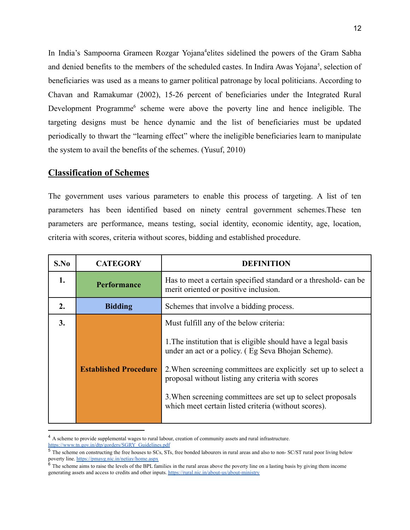In India's Sampoorna Grameen Rozgar Yojana<sup>4</sup>elites sidelined the powers of the Gram Sabha and denied benefits to the members of the scheduled castes. In Indira Awas Yojana<sup>5</sup>, selection of beneficiaries was used as a means to garner political patronage by local politicians. According to Chavan and Ramakumar (2002), 15-26 percent of beneficiaries under the Integrated Rural Development Programme<sup>6</sup> scheme were above the poverty line and hence ineligible. The targeting designs must be hence dynamic and the list of beneficiaries must be updated periodically to thwart the "learning effect" where the ineligible beneficiaries learn to manipulate the system to avail the benefits of the schemes. (Yusuf, 2010)

#### **Classification of Schemes**

The government uses various parameters to enable this process of targeting. A list of ten parameters has been identified based on ninety central government schemes.These ten parameters are performance, means testing, social identity, economic identity, age, location, criteria with scores, criteria without scores, bidding and established procedure.

| S.No | <b>CATEGORY</b>              | <b>DEFINITION</b>                                                                                                   |
|------|------------------------------|---------------------------------------------------------------------------------------------------------------------|
| 1.   | <b>Performance</b>           | Has to meet a certain specified standard or a threshold- can be<br>merit oriented or positive inclusion.            |
| 2.   | <b>Bidding</b>               | Schemes that involve a bidding process.                                                                             |
| 3.   |                              | Must fulfill any of the below criteria:                                                                             |
|      |                              | 1. The institution that is eligible should have a legal basis<br>under an act or a policy. (Eg Seva Bhojan Scheme). |
|      | <b>Established Procedure</b> | 2. When screening committees are explicitly set up to select a<br>proposal without listing any criteria with scores |
|      |                              | 3. When screening committees are set up to select proposals<br>which meet certain listed criteria (without scores). |

<sup>&</sup>lt;sup>4</sup> A scheme to provide supplemental wages to rural labour, creation of community assets and rural infrastructure. [https://www.tn.gov.in/dtp/gorders/SGRY\\_Guidelines.pdf](https://www.tn.gov.in/dtp/gorders/SGRY_Guidelines.pdf)

<sup>&</sup>lt;sup>5</sup> The scheme on constructing the free houses to SCs, STs, free bonded labourers in rural areas and also to non- SC/ST rural poor living below poverty line. <https://pmayg.nic.in/netiay/home.aspx>

 $6\sigma$  The scheme aims to raise the levels of the BPL families in the rural areas above the poverty line on a lasting basis by giving them income generating assets and access to credits and other inputs. <https://rural.nic.in/about-us/about-ministry>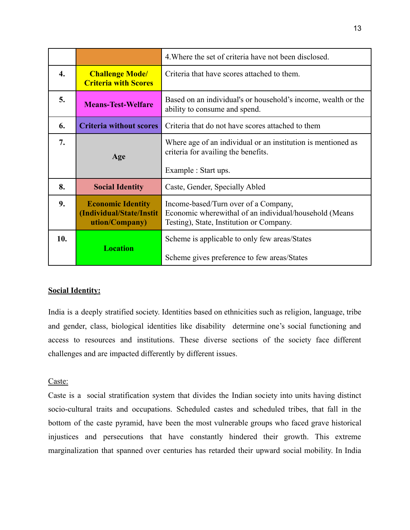|     |                                                                        | 4. Where the set of criteria have not been disclosed.                                                                                      |
|-----|------------------------------------------------------------------------|--------------------------------------------------------------------------------------------------------------------------------------------|
| 4.  | <b>Challenge Mode/</b><br><b>Criteria with Scores</b>                  | Criteria that have scores attached to them.                                                                                                |
| 5.  | <b>Means-Test-Welfare</b>                                              | Based on an individual's or household's income, wealth or the<br>ability to consume and spend.                                             |
| 6.  | <b>Criteria without scores</b>                                         | Criteria that do not have scores attached to them                                                                                          |
| 7.  | Age                                                                    | Where age of an individual or an institution is mentioned as<br>criteria for availing the benefits.<br>Example : Start ups.                |
| 8.  | <b>Social Identity</b>                                                 | Caste, Gender, Specially Abled                                                                                                             |
| 9.  | <b>Economic Identity</b><br>(Individual/State/Instit<br>ution/Company) | Income-based/Turn over of a Company,<br>Economic wherewithal of an individual/household (Means<br>Testing), State, Institution or Company. |
| 10. | <b>Location</b>                                                        | Scheme is applicable to only few areas/States<br>Scheme gives preference to few areas/States                                               |

#### **Social Identity:**

India is a deeply stratified society. Identities based on ethnicities such as religion, language, tribe and gender, class, biological identities like disability determine one's social functioning and access to resources and institutions. These diverse sections of the society face different challenges and are impacted differently by different issues.

#### Caste:

Caste is a social stratification system that divides the Indian society into units having distinct socio-cultural traits and occupations. Scheduled castes and scheduled tribes, that fall in the bottom of the caste pyramid, have been the most vulnerable groups who faced grave historical injustices and persecutions that have constantly hindered their growth. This extreme marginalization that spanned over centuries has retarded their upward social mobility. In India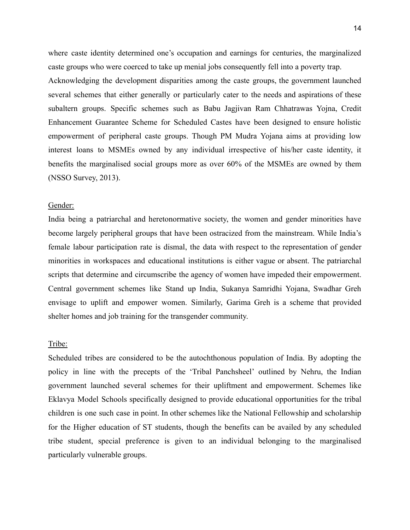where caste identity determined one's occupation and earnings for centuries, the marginalized caste groups who were coerced to take up menial jobs consequently fell into a poverty trap. Acknowledging the development disparities among the caste groups, the government launched several schemes that either generally or particularly cater to the needs and aspirations of these subaltern groups. Specific schemes such as Babu Jagjivan Ram Chhatrawas Yojna, Credit Enhancement Guarantee Scheme for Scheduled Castes have been designed to ensure holistic empowerment of peripheral caste groups. Though PM Mudra Yojana aims at providing low interest loans to MSMEs owned by any individual irrespective of his/her caste identity, it benefits the marginalised social groups more as over 60% of the MSMEs are owned by them (NSSO Survey, 2013).

#### Gender:

India being a patriarchal and heretonormative society, the women and gender minorities have become largely peripheral groups that have been ostracized from the mainstream. While India's female labour participation rate is dismal, the data with respect to the representation of gender minorities in workspaces and educational institutions is either vague or absent. The patriarchal scripts that determine and circumscribe the agency of women have impeded their empowerment. Central government schemes like Stand up India, Sukanya Samridhi Yojana, Swadhar Greh envisage to uplift and empower women. Similarly, Garima Greh is a scheme that provided shelter homes and job training for the transgender community.

#### Tribe:

Scheduled tribes are considered to be the autochthonous population of India. By adopting the policy in line with the precepts of the 'Tribal Panchsheel' outlined by Nehru, the Indian government launched several schemes for their upliftment and empowerment. Schemes like Eklavya Model Schools specifically designed to provide educational opportunities for the tribal children is one such case in point. In other schemes like the National Fellowship and scholarship for the Higher education of ST students, though the benefits can be availed by any scheduled tribe student, special preference is given to an individual belonging to the marginalised particularly vulnerable groups.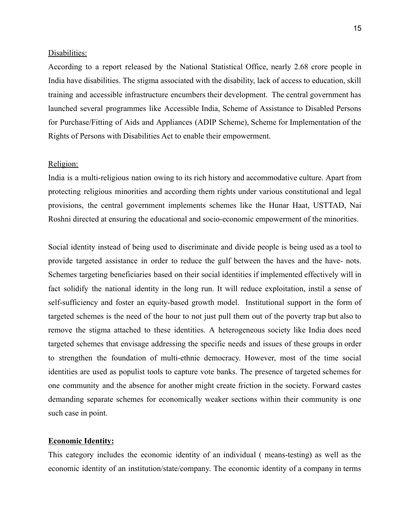#### Disabilities:

According to a report released by the National Statistical Office, nearly 2.68 crore people in India have disabilities. The stigma associated with the disability, lack of access to education, skill training and accessible infrastructure encumbers their development. The central government has launched several programmes like Accessible India, Scheme of Assistance to Disabled Persons for Purchase/Fitting of Aids and Appliances (ADIP Scheme), Scheme for Implementation of the Rights of Persons with Disabilities Act to enable their empowerment.

#### Religion:

India is a multi-religious nation owing to its rich history and accommodative culture. Apart from protecting religious minorities and according them rights under various constitutional and legal provisions, the central government implements schemes like the Hunar Haat, USTTAD, Nai Roshni directed at ensuring the educational and socio-economic empowerment of the minorities.

Social identity instead of being used to discriminate and divide people is being used as a tool to provide targeted assistance in order to reduce the gulf between the haves and the have- nots. Schemes targeting beneficiaries based on their social identities if implemented effectively will in fact solidify the national identity in the long run. It will reduce exploitation, instil a sense of self-sufficiency and foster an equity-based growth model. Institutional support in the form of targeted schemes is the need of the hour to not just pull them out of the poverty trap but also to remove the stigma attached to these identities. A heterogeneous society like India does need targeted schemes that envisage addressing the specific needs and issues of these groups in order to strengthen the foundation of multi-ethnic democracy. However, most of the time social identities are used as populist tools to capture vote banks. The presence of targeted schemes for one community and the absence for another might create friction in the society. Forward castes demanding separate schemes for economically weaker sections within their community is one such case in point.

#### **Economic Identity:**

This category includes the economic identity of an individual ( means-testing) as well as the economic identity of an institution/state/company. The economic identity of a company in terms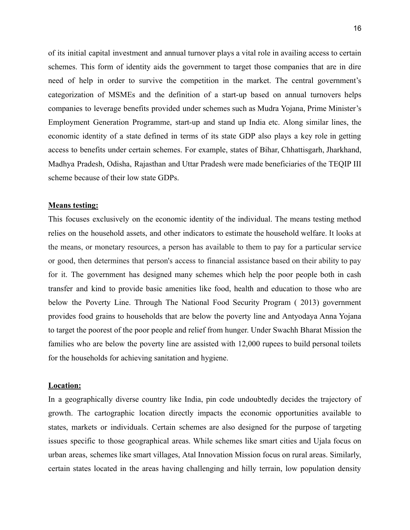of its initial capital investment and annual turnover plays a vital role in availing access to certain schemes. This form of identity aids the government to target those companies that are in dire need of help in order to survive the competition in the market. The central government's categorization of MSMEs and the definition of a start-up based on annual turnovers helps companies to leverage benefits provided under schemes such as Mudra Yojana, Prime Minister's Employment Generation Programme, start-up and stand up India etc. Along similar lines, the economic identity of a state defined in terms of its state GDP also plays a key role in getting access to benefits under certain schemes. For example, states of Bihar, Chhattisgarh, Jharkhand, Madhya Pradesh, Odisha, Rajasthan and Uttar Pradesh were made beneficiaries of the TEQIP III scheme because of their low state GDPs.

#### **Means testing:**

This focuses exclusively on the economic identity of the individual. The means testing method relies on the household assets, and other indicators to estimate the household welfare. It looks at the means, or monetary resources, a person has available to them to pay for a particular service or good, then determines that person's access to financial assistance based on their ability to pay for it. The government has designed many schemes which help the poor people both in cash transfer and kind to provide basic amenities like food, health and education to those who are below the Poverty Line. Through The National Food Security Program ( 2013) government provides food grains to households that are below the poverty line and Antyodaya Anna Yojana to target the poorest of the poor people and relief from hunger. Under Swachh Bharat Mission the families who are below the poverty line are assisted with 12,000 rupees to build personal toilets for the households for achieving sanitation and hygiene.

#### **Location:**

In a geographically diverse country like India, pin code undoubtedly decides the trajectory of growth. The cartographic location directly impacts the economic opportunities available to states, markets or individuals. Certain schemes are also designed for the purpose of targeting issues specific to those geographical areas. While schemes like smart cities and Ujala focus on urban areas, schemes like smart villages, Atal Innovation Mission focus on rural areas. Similarly, certain states located in the areas having challenging and hilly terrain, low population density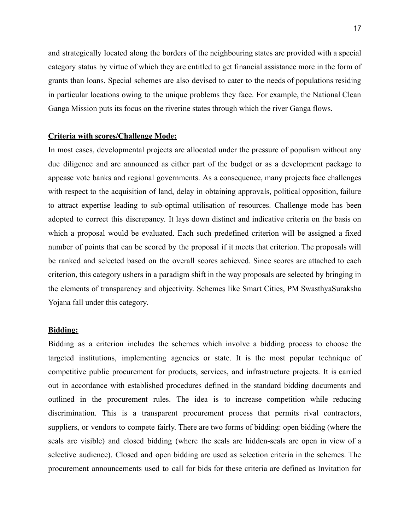and strategically located along the borders of the neighbouring states are provided with a special category status by virtue of which they are entitled to get financial assistance more in the form of grants than loans. Special schemes are also devised to cater to the needs of populations residing in particular locations owing to the unique problems they face. For example, the National Clean Ganga Mission puts its focus on the riverine states through which the river Ganga flows.

#### **Criteria with scores/Challenge Mode:**

In most cases, developmental projects are allocated under the pressure of populism without any due diligence and are announced as either part of the budget or as a development package to appease vote banks and regional governments. As a consequence, many projects face challenges with respect to the acquisition of land, delay in obtaining approvals, political opposition, failure to attract expertise leading to sub-optimal utilisation of resources. Challenge mode has been adopted to correct this discrepancy. It lays down distinct and indicative criteria on the basis on which a proposal would be evaluated. Each such predefined criterion will be assigned a fixed number of points that can be scored by the proposal if it meets that criterion. The proposals will be ranked and selected based on the overall scores achieved. Since scores are attached to each criterion, this category ushers in a paradigm shift in the way proposals are selected by bringing in the elements of transparency and objectivity. Schemes like Smart Cities, PM SwasthyaSuraksha Yojana fall under this category.

#### **Bidding:**

Bidding as a criterion includes the schemes which involve a bidding process to choose the targeted institutions, implementing agencies or state. It is the most popular technique of competitive public procurement for products, services, and infrastructure projects. It is carried out in accordance with established procedures defined in the standard bidding documents and outlined in the procurement rules. The idea is to increase competition while reducing discrimination. This is a transparent procurement process that permits rival contractors, suppliers, or vendors to compete fairly. There are two forms of bidding: open bidding (where the seals are visible) and closed bidding (where the seals are hidden-seals are open in view of a selective audience). Closed and open bidding are used as selection criteria in the schemes. The procurement announcements used to call for bids for these criteria are defined as Invitation for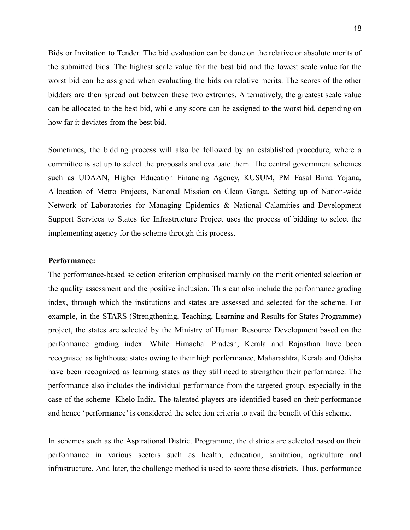Bids or Invitation to Tender. The bid evaluation can be done on the relative or absolute merits of the submitted bids. The highest scale value for the best bid and the lowest scale value for the worst bid can be assigned when evaluating the bids on relative merits. The scores of the other bidders are then spread out between these two extremes. Alternatively, the greatest scale value can be allocated to the best bid, while any score can be assigned to the worst bid, depending on how far it deviates from the best bid.

Sometimes, the bidding process will also be followed by an established procedure, where a committee is set up to select the proposals and evaluate them. The central government schemes such as UDAAN, Higher Education Financing Agency, KUSUM, PM Fasal Bima Yojana, Allocation of Metro Projects, National Mission on Clean Ganga, Setting up of Nation-wide Network of Laboratories for Managing Epidemics & National Calamities and Development Support Services to States for Infrastructure Project uses the process of bidding to select the implementing agency for the scheme through this process.

#### **Performance:**

The performance-based selection criterion emphasised mainly on the merit oriented selection or the quality assessment and the positive inclusion. This can also include the performance grading index, through which the institutions and states are assessed and selected for the scheme. For example, in the STARS (Strengthening, Teaching, Learning and Results for States Programme) project, the states are selected by the Ministry of Human Resource Development based on the performance grading index. While Himachal Pradesh, Kerala and Rajasthan have been recognised as lighthouse states owing to their high performance, Maharashtra, Kerala and Odisha have been recognized as learning states as they still need to strengthen their performance. The performance also includes the individual performance from the targeted group, especially in the case of the scheme- Khelo India. The talented players are identified based on their performance and hence 'performance' is considered the selection criteria to avail the benefit of this scheme.

In schemes such as the Aspirational District Programme, the districts are selected based on their performance in various sectors such as health, education, sanitation, agriculture and infrastructure. And later, the challenge method is used to score those districts. Thus, performance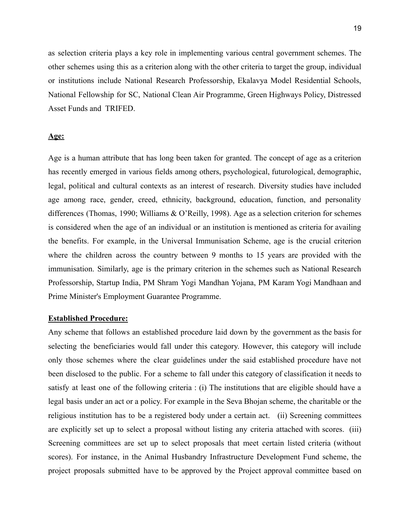as selection criteria plays a key role in implementing various central government schemes. The other schemes using this as a criterion along with the other criteria to target the group, individual or institutions include National Research Professorship, Ekalavya Model Residential Schools, National Fellowship for SC, National Clean Air Programme, Green Highways Policy, Distressed Asset Funds and TRIFED.

#### **Age:**

Age is a human attribute that has long been taken for granted. The concept of age as a criterion has recently emerged in various fields among others, psychological, futurological, demographic, legal, political and cultural contexts as an interest of research. Diversity studies have included age among race, gender, creed, ethnicity, background, education, function, and personality differences (Thomas, 1990; Williams & O'Reilly, 1998). Age as a selection criterion for schemes is considered when the age of an individual or an institution is mentioned as criteria for availing the benefits. For example, in the Universal Immunisation Scheme, age is the crucial criterion where the children across the country between 9 months to 15 years are provided with the immunisation. Similarly, age is the primary criterion in the schemes such as National Research Professorship, Startup India, PM Shram Yogi Mandhan Yojana, PM Karam Yogi Mandhaan and Prime Minister's Employment Guarantee Programme.

#### **Established Procedure:**

Any scheme that follows an established procedure laid down by the government as the basis for selecting the beneficiaries would fall under this category. However, this category will include only those schemes where the clear guidelines under the said established procedure have not been disclosed to the public. For a scheme to fall under this category of classification it needs to satisfy at least one of the following criteria : (i) The institutions that are eligible should have a legal basis under an act or a policy. For example in the Seva Bhojan scheme, the charitable or the religious institution has to be a registered body under a certain act. (ii) Screening committees are explicitly set up to select a proposal without listing any criteria attached with scores. (iii) Screening committees are set up to select proposals that meet certain listed criteria (without scores). For instance, in the Animal Husbandry Infrastructure Development Fund scheme, the project proposals submitted have to be approved by the Project approval committee based on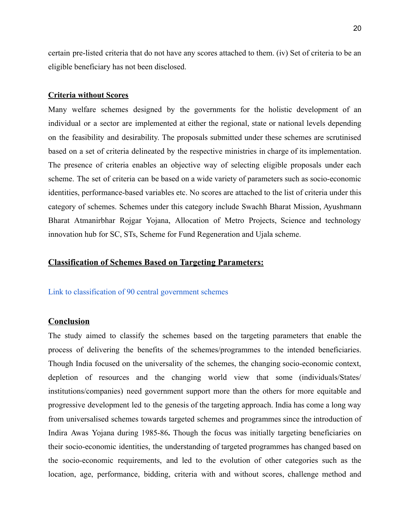certain pre-listed criteria that do not have any scores attached to them. (iv) Set of criteria to be an eligible beneficiary has not been disclosed.

#### **Criteria without Scores**

Many welfare schemes designed by the governments for the holistic development of an individual or a sector are implemented at either the regional, state or national levels depending on the feasibility and desirability. The proposals submitted under these schemes are scrutinised based on a set of criteria delineated by the respective ministries in charge of its implementation. The presence of criteria enables an objective way of selecting eligible proposals under each scheme. The set of criteria can be based on a wide variety of parameters such as socio-economic identities, performance-based variables etc. No scores are attached to the list of criteria under this category of schemes. Schemes under this category include Swachh Bharat Mission, Ayushmann Bharat Atmanirbhar Rojgar Yojana, Allocation of Metro Projects, Science and technology innovation hub for SC, STs, Scheme for Fund Regeneration and Ujala scheme.

#### **Classification of Schemes Based on Targeting Parameters:**

#### [Link to classification of 90 central government schemes](https://docs.google.com/document/d/1TQQQUuyfBcEdewH2Xg8PiDyO_2fzLV9vfAtzQWqcq8I/edit?usp=sharing)

#### **Conclusion**

The study aimed to classify the schemes based on the targeting parameters that enable the process of delivering the benefits of the schemes/programmes to the intended beneficiaries. Though India focused on the universality of the schemes, the changing socio-economic context, depletion of resources and the changing world view that some (individuals/States/ institutions/companies) need government support more than the others for more equitable and progressive development led to the genesis of the targeting approach. India has come a long way from universalised schemes towards targeted schemes and programmes since the introduction of Indira Awas Yojana during 1985-86**.** Though the focus was initially targeting beneficiaries on their socio-economic identities, the understanding of targeted programmes has changed based on the socio-economic requirements, and led to the evolution of other categories such as the location, age, performance, bidding, criteria with and without scores, challenge method and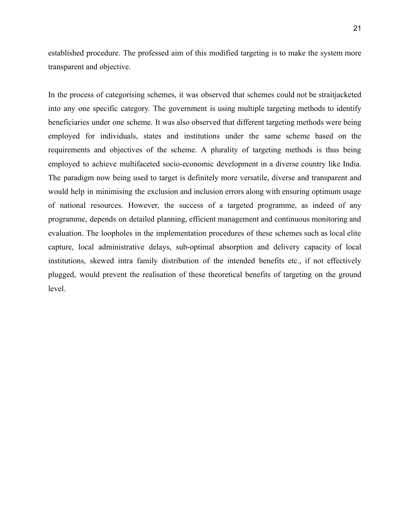established procedure. The professed aim of this modified targeting is to make the system more transparent and objective.

In the process of categorising schemes, it was observed that schemes could not be straitjacketed into any one specific category. The government is using multiple targeting methods to identify beneficiaries under one scheme. It was also observed that different targeting methods were being employed for individuals, states and institutions under the same scheme based on the requirements and objectives of the scheme. A plurality of targeting methods is thus being employed to achieve multifaceted socio-economic development in a diverse country like India. The paradigm now being used to target is definitely more versatile, diverse and transparent and would help in minimising the exclusion and inclusion errors along with ensuring optimum usage of national resources. However, the success of a targeted programme, as indeed of any programme, depends on detailed planning, efficient management and continuous monitoring and evaluation. The loopholes in the implementation procedures of these schemes such as local elite capture, local administrative delays, sub-optimal absorption and delivery capacity of local institutions, skewed intra family distribution of the intended benefits etc., if not effectively plugged, would prevent the realisation of these theoretical benefits of targeting on the ground level.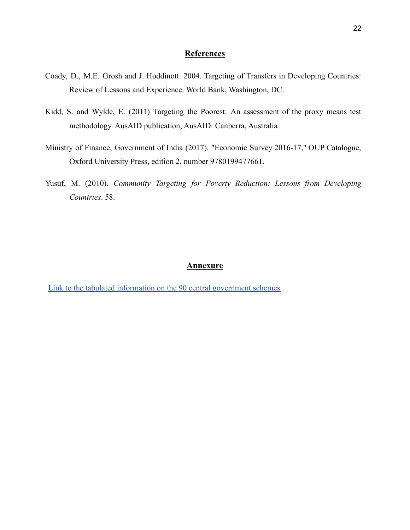#### **References**

- Coady, D., M.E. Grosh and J. Hoddinott. 2004. Targeting of Transfers in Developing Countries: Review of Lessons and Experience. World Bank, Washington, DC.
- Kidd, S. and Wylde, E. (2011) Targeting the Poorest: An assessment of the proxy means test methodology. AusAID publication, AusAID: Canberra, Australia
- Ministry of Finance, Government of India (2017). "[Economic](https://ideas.repec.org/b/oxp/obooks/9780199477661.html) Survey 2016-17," OUP [Catalogue,](https://ideas.repec.org/s/oxp/obooks.html) Oxford University Press, edition 2, number 9780199477661.
- Yusuf, M. (2010). *Community Targeting for Poverty Reduction: Lessons from Developing Countries*. 58.

#### **Annexure**

[Link to the tabulated information on the 90 central government schemes](https://docs.google.com/document/d/1eisjxuruPShYfR17vZKGbRASeQtfPop2CtLOO9Txxg8/edit?usp=sharing)